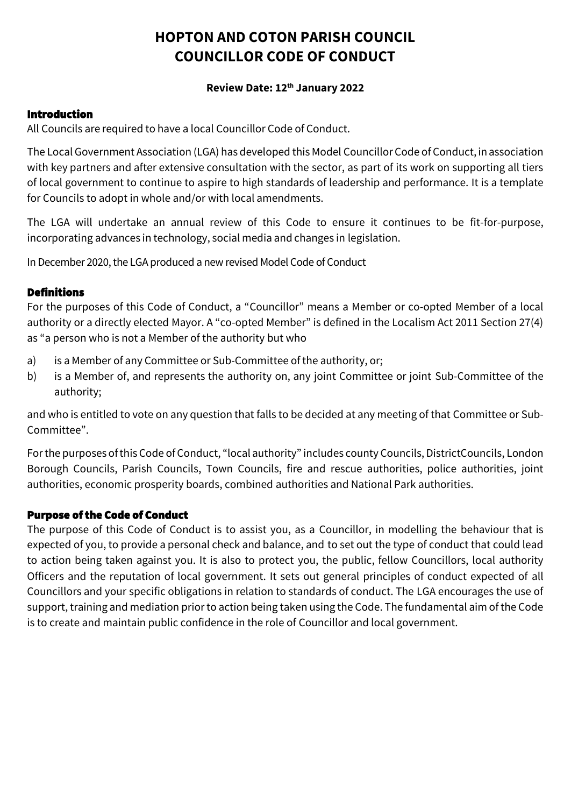# **HOPTON AND COTON PARISH COUNCIL COUNCILLOR CODE OF CONDUCT**

### **Review Date: 12th January 2022**

### Introduction

All Councils are required to have a local Councillor Code of Conduct.

The Local Government Association (LGA) has developed this Model Councillor Code of Conduct, inassociation with key partners and after extensive consultation with the sector, as part of its work on supporting all tiers of local government to continue to aspire to high standards of leadership and performance. It is a template for Councils to adopt in whole and/or with local amendments.

The LGA will undertake an annual review of this Code to ensure it continues to be fit-for-purpose, incorporating advances in technology, social media and changes in legislation.

In December 2020, the LGAproduced a new revised Model Code of Conduct

### **Definitions**

For the purposes of this Code of Conduct, a "Councillor" means a Member or co-opted Member of a local authority or a directly elected Mayor. A "co-opted Member" is defined in the Localism Act 2011 Section 27(4) as "a person who is not a Member of the authority but who

- a) is a Member of any Committee or Sub-Committee of the authority, or;
- b) is a Member of, and represents the authority on, any joint Committee or joint Sub-Committee of the authority;

and who is entitled to vote on any question that falls to be decided at any meeting of that Committee or Sub-Committee".

For the purposes of this Code of Conduct, "local authority" includes county Councils, DistrictCouncils, London Borough Councils, Parish Councils, Town Councils, fire and rescue authorities, police authorities, joint authorities, economic prosperity boards, combined authorities and National Park authorities.

## Purpose of the Code of Conduct

The purpose of this Code of Conduct is to assist you, as a Councillor, in modelling the behaviour that is expected of you, to provide a personal check and balance, and to set out the type of conduct that could lead to action being taken against you. It is also to protect you, the public, fellow Councillors, local authority Officers and the reputation of local government. It sets out general principles of conduct expected of all Councillors and your specific obligations in relation to standards of conduct. The LGA encourages the use of support, training and mediation prior to action being taken using the Code. The fundamental aim of the Code is to create and maintain public confidence in the role of Councillor and local government.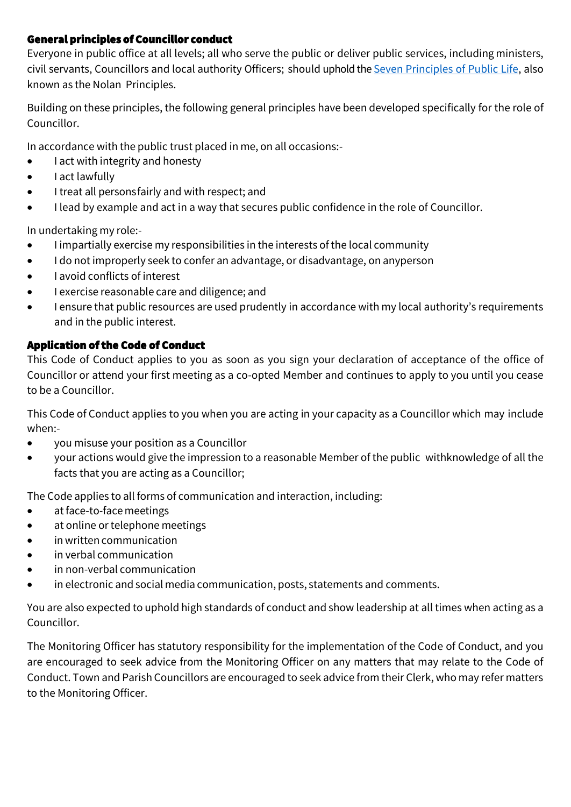## General principles of Councillor conduct

Everyone in public office at all levels; all who serve the public or deliver public services, including ministers, civil servants, Councillors and local authority Officers; should uphold the Seven [Principles](https://www.gov.uk/government/publications/the-7-principles-of-public-life/the-7-principles-of-public-life--2) of Public Life, also known as the Nolan Principles.

Building on these principles, the following general principles have been developed specifically for the role of Councillor.

In accordance with the public trust placed in me, on all occasions:-

- I act with integrity and honesty
- I act lawfully
- I treat all personsfairly and with respect; and
- I lead by example and act in a way that secures public confidence in the role of Councillor.

In undertaking my role:-

- I impartially exercise my responsibilities in the interests of the local community
- I do not improperly seek to confer an advantage, or disadvantage, on anyperson
- I avoid conflicts of interest
- I exercise reasonable care and diligence; and
- I ensure that public resources are used prudently in accordance with my local authority's requirements and in the public interest.

# Application of the Code of Conduct

This Code of Conduct applies to you as soon as you sign your declaration of acceptance of the office of Councillor or attend your first meeting as a co-opted Member and continues to apply to you until you cease to be a Councillor.

This Code of Conduct applies to you when you are acting in your capacity as a Councillor which may include when:-

- you misuse your position as a Councillor
- your actions would give the impression to a reasonable Member of the public withknowledge of all the facts that you are acting as a Councillor;

The Code applies to all forms of communication and interaction, including:

- at face-to-face meetings
- at online or telephone meetings
- in written communication
- in verbal communication
- in non-verbal communication
- in electronic and social media communication, posts, statements and comments.

You are also expected to uphold high standards of conduct and show leadership at all times when acting as a Councillor.

The Monitoring Officer has statutory responsibility for the implementation of the Code of Conduct, and you are encouraged to seek advice from the Monitoring Officer on any matters that may relate to the Code of Conduct. Town and Parish Councillors are encouraged to seek advice from their Clerk, who may refer matters to the Monitoring Officer.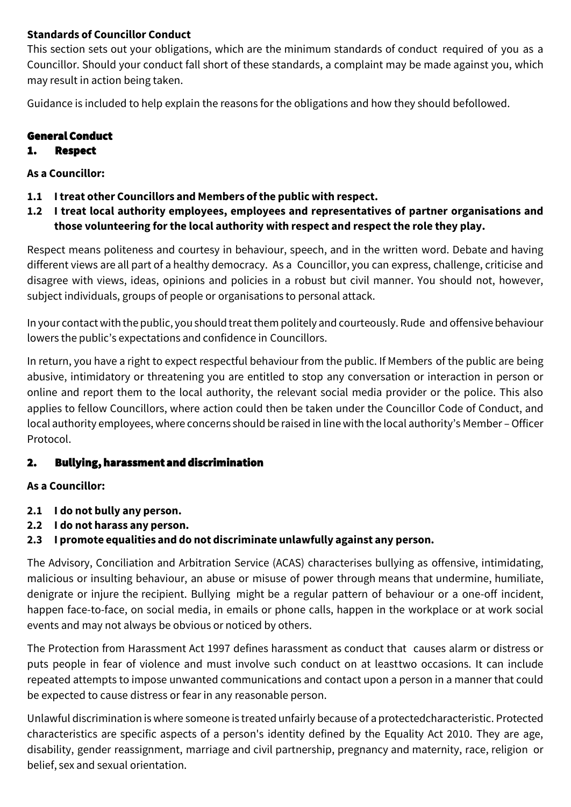## **Standards of Councillor Conduct**

This section sets out your obligations, which are the minimum standards of conduct required of you as a Councillor. Should your conduct fall short of these standards, a complaint may be made against you, which may result in action being taken.

Guidance is included to help explain the reasons for the obligations and how they should befollowed.

# General Conduct

## 1. Respect

## **As a Councillor:**

- **1.1 Itreat other Councillors and Members ofthe public with respect.**
- **1.2 I treat local authority employees, employees and representatives of partner organisations and those volunteering for the local authority with respect and respectthe role they play.**

Respect means politeness and courtesy in behaviour, speech, and in the written word. Debate and having different views are all part of a healthy democracy. As a Councillor, you can express, challenge, criticise and disagree with views, ideas, opinions and policies in a robust but civil manner. You should not, however, subject individuals, groups of people or organisations to personal attack.

In your contact with the public, you should treat them politely and courteously. Rude and offensive behaviour lowers the public's expectations and confidence in Councillors.

In return, you have a right to expect respectful behaviour from the public. If Members of the public are being abusive, intimidatory or threatening you are entitled to stop any conversation or interaction in person or online and report them to the local authority, the relevant social media provider or the police. This also applies to fellow Councillors, where action could then be taken under the Councillor Code of Conduct, and local authorityemployees, where concerns should be raised in line with the local authority's Member –Officer Protocol.

# 2. Bullying, harassment and discrimination

## **As a Councillor:**

- **2.1 I do not bully any person.**
- **2.2 I do not harass any person.**
- **2.3 I promote equalities and do not discriminate unlawfully against any person.**

The Advisory, Conciliation and Arbitration Service (ACAS) characterises bullying as offensive, intimidating, malicious or insulting behaviour, an abuse or misuse of power through means that undermine, humiliate, denigrate or injure the recipient. Bullying might be a regular pattern of behaviour or a one-off incident, happen face-to-face, on social media, in emails or phone calls, happen in the workplace or at work social events and may not always be obvious or noticed by others.

The Protection from Harassment Act 1997 defines harassment as conduct that causes alarm or distress or puts people in fear of violence and must involve such conduct on at leasttwo occasions. It can include repeated attempts to impose unwanted communications and contact upon a person in a manner that could be expected to cause distress or fear in any reasonable person.

Unlawful discrimination is where someoneis treated unfairly because of a protectedcharacteristic. Protected characteristics are specific aspects of a person's identity defined by the Equality Act 2010. They are age, disability, gender reassignment, marriage and civil partnership, pregnancy and maternity, race, religion or belief, sex and sexual orientation.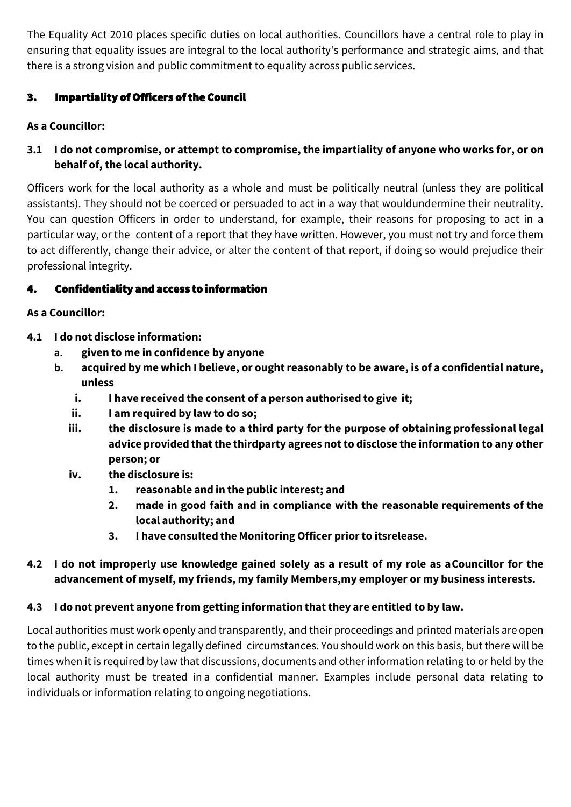The Equality Act 2010 places specific duties on local authorities. Councillors have a central role to play in ensuring that equality issues are integral to the local authority's performance and strategic aims, and that there is a strong vision and public commitment to equality across public services.

# 3. Impartiality of Officers of the Council

# **As a Councillor:**

# **3.1 I do not compromise, or attempt to compromise, the impartiality of anyone who works for, or on behalf of,the local authority.**

Officers work for the local authority as a whole and must be politically neutral (unless they are political assistants). They should not be coerced or persuaded to act in a way that wouldundermine their neutrality. You can question Officers in order to understand, for example, their reasons for proposing to act in a particular way, or the content of a report that they have written. However, you must not try and force them to act differently, change their advice, or alter the content of that report, if doing so would prejudice their professional integrity.

# 4. Confidentiality and access to information

# **As a Councillor:**

- **4.1 I do not disclose information:**
	- **a. given to me in confidence by anyone**
	- **b. acquired by me which I believe, or oughtreasonably to be aware, is of a confidential nature, unless**
		- **i. I have received the consent of a person authorised to give it;**
		- **ii. I am required by law to do so;**
		- **iii. the disclosure is made to a third party for the purpose of obtaining professional legal advice provided thatthe thirdparty agrees not to disclose the information to any other person; or**
		- **iv. the disclosure is:**
			- **1. reasonable and in the public interest; and**
			- **2. made in good faith and in compliance with the reasonable requirements of the local authority; and**
			- **3. I have consulted the Monitoring Officer priorto itsrelease.**

# **4.2 I do not improperly use knowledge gained solely as a result of my role as aCouncillor for the advancement of myself, my friends, my family Members,my employer or my business interests.**

# **4.3 I do not prevent anyone from getting information thatthey are entitled to by law.**

Local authorities must work openly and transparently, and their proceedings and printed materials are open to the public, except in certain legally defined circumstances. You should work on this basis, but there will be times when it is required by law that discussions, documents and other information relating to or held by the local authority must be treated in a confidential manner. Examples include personal data relating to individuals or information relating to ongoing negotiations.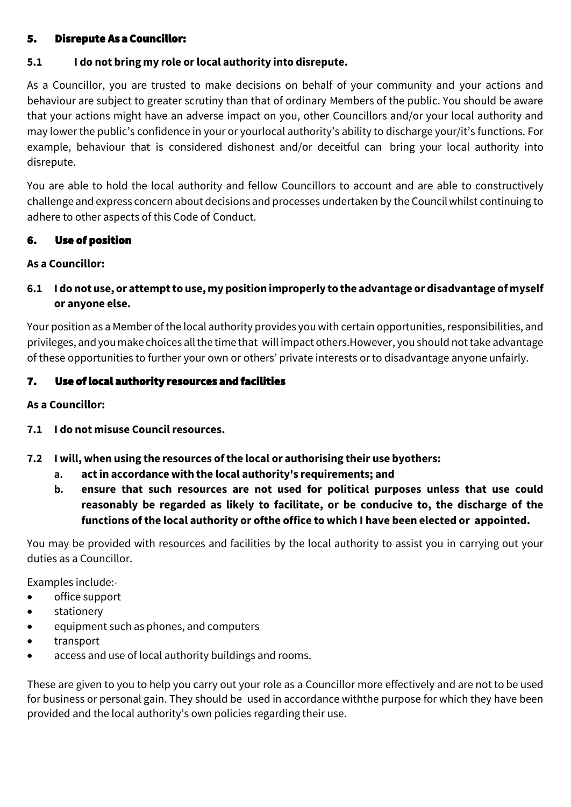### 5. Disrepute As a Councillor:

### **5.1 I do not bring my role orlocal authority into disrepute.**

As a Councillor, you are trusted to make decisions on behalf of your community and your actions and behaviour are subject to greater scrutiny than that of ordinary Members of the public. You should be aware that your actions might have an adverse impact on you, other Councillors and/or your local authority and may lower the public's confidence in your or yourlocal authority's ability to discharge your/it's functions. For example, behaviour that is considered dishonest and/or deceitful can bring your local authority into disrepute.

You are able to hold the local authority and fellow Councillors to account and are able to constructively challenge and express concern about decisions and processes undertaken by the Councilwhilst continuing to adhere to other aspects of this Code of Conduct.

### 6. Use of position

### **As a Councillor:**

**6.1 I do not use, or attempt to use, my position improperly to the advantage or disadvantage of myself or anyone else.**

Your position as a Member of the local authority provides you with certain opportunities, responsibilities, and privileges, and youmakechoices allthetimethat will impact others.However, you should not take advantage of these opportunities to further your own or others' private interests or to disadvantage anyone unfairly.

## 7. Use of local authority resources and facilities

#### **As a Councillor:**

- **7.1 I do not misuse Councilresources.**
- **7.2 I will, when using the resources ofthe local or authorising their use byothers:**
	- **a. actin accordance with the local authority's requirements; and**
	- **b. ensure that such resources are not used for political purposes unless that use could reasonably be regarded as likely to facilitate, or be conducive to, the discharge of the functions of the local authority or ofthe office to which I have been elected or appointed.**

You may be provided with resources and facilities by the local authority to assist you in carrying out your duties as a Councillor.

Examples include:-

- office support
- stationery
- equipment such as phones, and computers
- transport
- access and use of local authority buildings and rooms.

These are given to you to help you carry out your role as a Councillor more effectively and are not to be used for business or personal gain. They should be used in accordance withthe purpose for which they have been provided and the local authority's own policies regarding their use.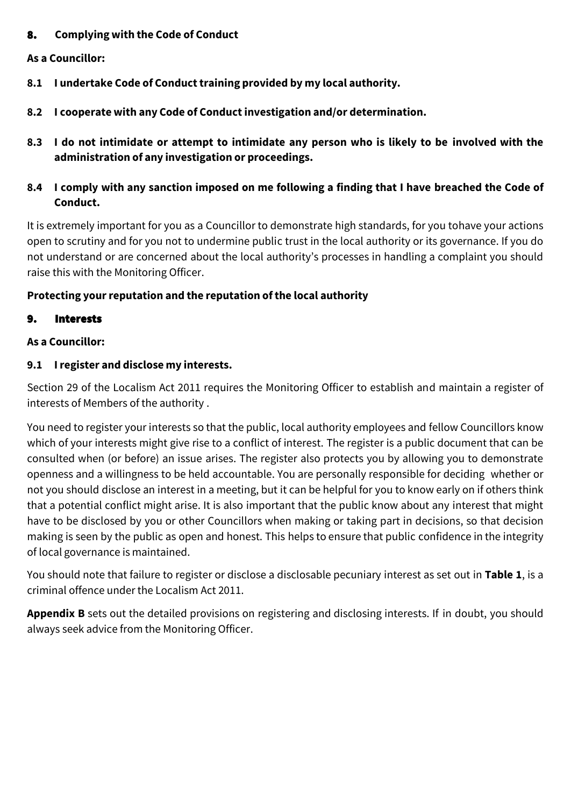## 8. **Complying with the Code of Conduct**

#### **As a Councillor:**

- **8.1 I undertake Code of Conducttraining provided by my local authority.**
- **8.2 I cooperate with any Code of Conductinvestigation and/or determination.**
- **8.3 I do not intimidate or attempt to intimidate any person who is likely to be involved with the administration of any investigation or proceedings.**
- **8.4 I comply with any sanction imposed on me following a finding that I have breached the Code of Conduct.**

It is extremely important for you as a Councillor to demonstrate high standards, for you tohave your actions open to scrutiny and for you not to undermine public trust in the local authority or its governance. If you do not understand or are concerned about the local authority's processes in handling a complaint you should raise this with the Monitoring Officer.

## **Protecting your reputation and the reputation of the local authority**

### 9. Interests

### **As a Councillor:**

### **9.1 Iregister and disclose my interests.**

Section 29 of the Localism Act 2011 requires the Monitoring Officer to establish and maintain a register of interests of Members of the authority .

You need to register your interests so that the public, local authority employees and fellow Councillors know which of your interests might give rise to a conflict of interest. The register is a public document that can be consulted when (or before) an issue arises. The register also protects you by allowing you to demonstrate openness and a willingness to be held accountable. You are personally responsible for deciding whether or not you should disclose an interest in a meeting, but it can be helpful for you to know early on if others think that a potential conflict might arise. It is also important that the public know about any interest that might have to be disclosed by you or other Councillors when making or taking part in decisions, so that decision making is seen by the public as open and honest. This helps to ensure that public confidence in the integrity of local governance is maintained.

You should note that failure to register or disclose a disclosable pecuniary interest as set out in **Table 1**, is a criminal offence under the Localism Act 2011.

**Appendix B** sets out the detailed provisions on registering and disclosing interests. If in doubt, you should always seek advice from the Monitoring Officer.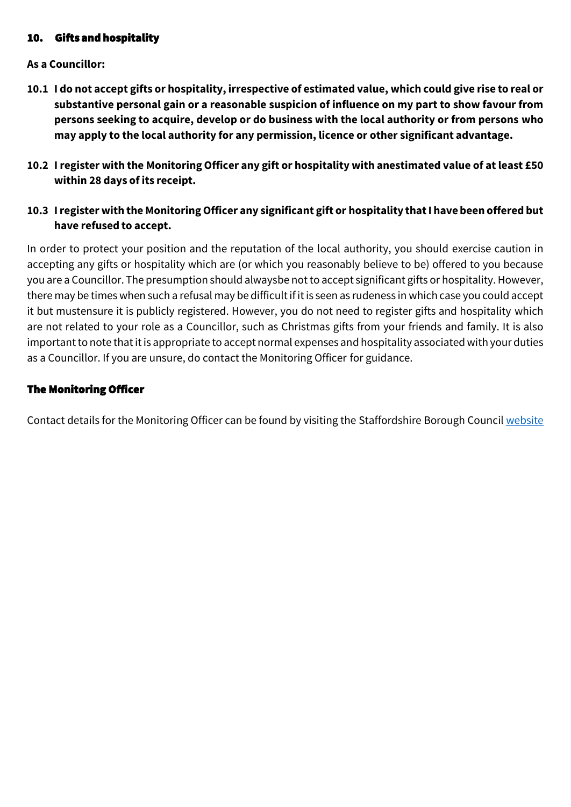## 10. Gifts and hospitality

### **As a Councillor:**

- **10.1 I do not accept gifts or hospitality, irrespective of estimated value, which could give rise to real or substantive personal gain or a reasonable suspicion of influence on my part to show favour from persons seeking to acquire, develop or do business with the local authority or from persons who may apply to the local authority for any permission, licence or other significant advantage.**
- **10.2 Iregister with the Monitoring Officer any gift or hospitality with anestimated value of atleast £50 within 28 days of its receipt.**
- **10.3 I register with the Monitoring Officer any significant gift or hospitality thatI havebeen offered but have refused to accept.**

In order to protect your position and the reputation of the local authority, you should exercise caution in accepting any gifts or hospitality which are (or which you reasonably believe to be) offered to you because you are a Councillor. The presumption should alwaysbe not to accept significant gifts or hospitality. However, there may be times when such a refusal may be difficult if it is seen as rudeness in which case you could accept it but mustensure it is publicly registered. However, you do not need to register gifts and hospitality which are not related to your role as a Councillor, such as Christmas gifts from your friends and family. It is also important to note that it is appropriate to accept normal expenses and hospitality associated with your duties as a Councillor. If you are unsure, do contact the Monitoring Officer for guidance.

## The Monitoring Officer

Contact details for the Monitoring Officer can be found by visiting the Staffordshire Borough Counci[l website](https://www.staffordbc.gov.uk/complaints-council-members)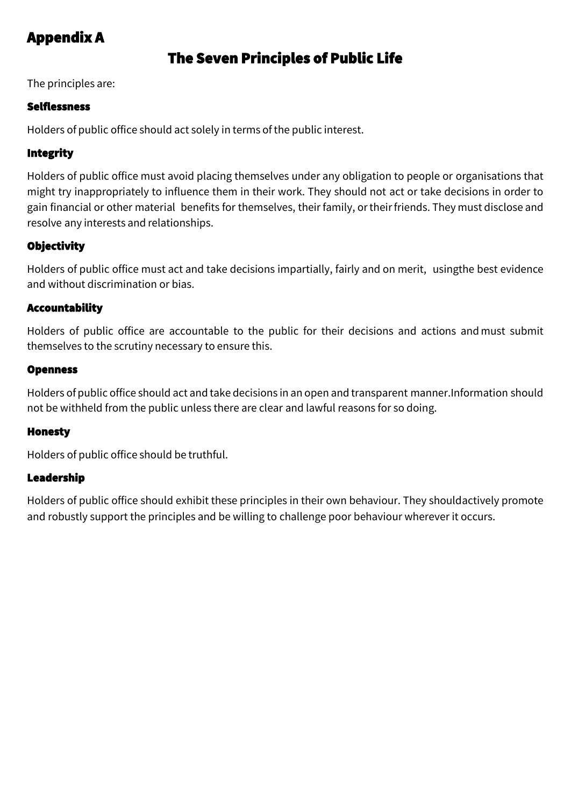# Appendix A

# The Seven Principles of Public Life

The principles are:

## Selflessness

Holders of public office should act solely in terms of the public interest.

# Integrity

Holders of public office must avoid placing themselves under any obligation to people or organisations that might try inappropriately to influence them in their work. They should not act or take decisions in order to gain financial or other material benefits for themselves, their family, ortheirfriends. They must disclose and resolve any interests and relationships.

# **Objectivity**

Holders of public office must act and take decisions impartially, fairly and on merit, usingthe best evidence and without discrimination or bias.

## Accountability

Holders of public office are accountable to the public for their decisions and actions and must submit themselves to the scrutiny necessary to ensure this.

### Openness

Holders of public office should act and take decisions in an open and transparent manner.Information should not be withheld from the public unless there are clear and lawful reasons for so doing.

## Honesty

Holders of public office should be truthful.

## Leadership

Holders of public office should exhibit these principles in their own behaviour. They shouldactively promote and robustly support the principles and be willing to challenge poor behaviour wherever it occurs.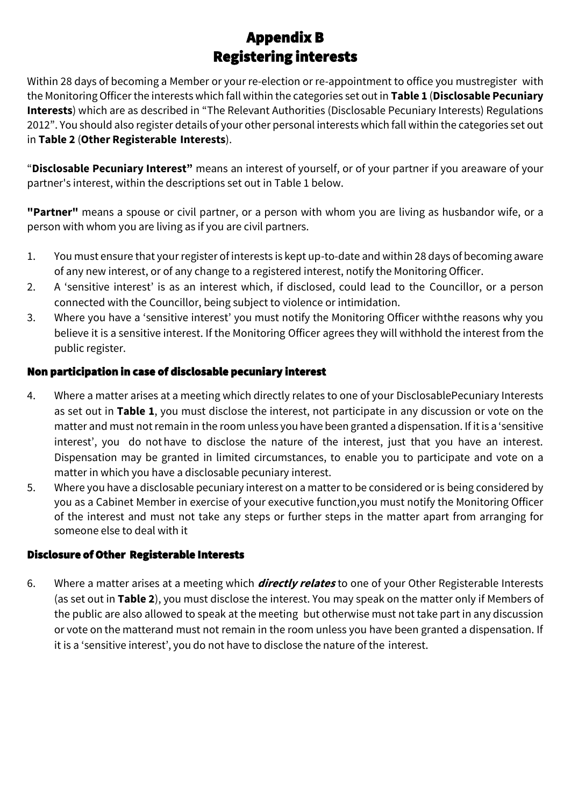# Appendix B Registering interests

Within 28 days of becoming a Member or your re-election or re-appointment to office you mustregister with the Monitoring Officer the interests which fall within the categories set out in **Table 1** (**Disclosable Pecuniary Interests**) which are as described in "The Relevant Authorities (Disclosable Pecuniary Interests) Regulations 2012". You should also register details of your other personal interests which fall within the categories set out in **Table 2** (**Other Registerable Interests**).

"**Disclosable Pecuniary Interest"** means an interest of yourself, or of your partner if you areaware of your partner's interest, within the descriptions set out in Table 1 below.

**"Partner"** means a spouse or civil partner, or a person with whom you are living as husbandor wife, or a person with whom you are living as if you are civil partners.

- 1. You must ensure that your register of interests is kept up-to-date and within 28 days of becoming aware of any new interest, or of any change to a registered interest, notify the Monitoring Officer.
- 2. A 'sensitive interest' is as an interest which, if disclosed, could lead to the Councillor, or a person connected with the Councillor, being subject to violence or intimidation.
- 3. Where you have a 'sensitive interest' you must notify the Monitoring Officer withthe reasons why you believe it is a sensitive interest. If the Monitoring Officer agrees they will withhold the interest from the public register.

## Non participation in case of disclosable pecuniary interest

- 4. Where a matter arises at a meeting which directly relates to one of your DisclosablePecuniary Interests as set out in **Table 1**, you must disclose the interest, not participate in any discussion or vote on the matter and must not remain in the room unless you have been granted a dispensation. If itis a 'sensitive interest', you do nothave to disclose the nature of the interest, just that you have an interest. Dispensation may be granted in limited circumstances, to enable you to participate and vote on a matter in which you have a disclosable pecuniary interest.
- 5. Where you have a disclosable pecuniary interest on a matter to be considered or is being considered by you as a Cabinet Member in exercise of your executive function,you must notify the Monitoring Officer of the interest and must not take any steps or further steps in the matter apart from arranging for someone else to deal with it

## Disclosure of Other Registerable Interests

6. Where a matter arises at a meeting which **directly relates** to one of your Other Registerable Interests (as set out in **Table 2**), you must disclose the interest. You may speak on the matter only if Members of the public are also allowed to speak at the meeting but otherwise must not take part in any discussion or vote on the matterand must not remain in the room unless you have been granted a dispensation. If it is a 'sensitive interest', you do not have to disclose the nature of the interest.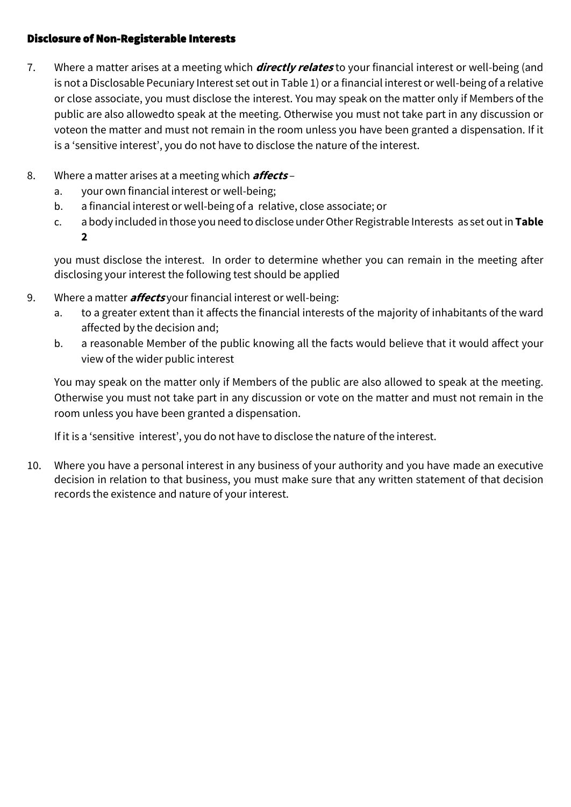### Disclosure of Non-Registerable Interests

- 7. Where a matter arises at a meeting which **directly relates** to your financial interest or well-being (and is not a Disclosable Pecuniary Interest set out in Table 1) or a financial interest or well-being of a relative or close associate, you must disclose the interest. You may speak on the matter only if Members of the public are also allowedto speak at the meeting. Otherwise you must not take part in any discussion or voteon the matter and must not remain in the room unless you have been granted a dispensation. If it is a 'sensitive interest', you do not have to disclose the nature of the interest.
- 8. Where a matter arises at a meeting which **affects**
	- a. your own financial interest or well-being;
	- b. a financial interest or well-being of a relative, close associate; or
	- c. a body included in those you need to disclose under Other Registrable Interests as set out in Table **2**

you must disclose the interest. In order to determine whether you can remain in the meeting after disclosing your interest the following test should be applied

- 9. Where a matter **affects** your financial interest or well-being:
	- a. to a greater extent than it affects the financial interests of the majority of inhabitants of the ward affected by the decision and;
	- b. a reasonable Member of the public knowing all the facts would believe that it would affect your view of the wider public interest

You may speak on the matter only if Members of the public are also allowed to speak at the meeting. Otherwise you must not take part in any discussion or vote on the matter and must not remain in the room unless you have been granted a dispensation.

If it is a 'sensitive interest', you do not have to disclose the nature of the interest.

10. Where you have a personal interest in any business of your authority and you have made an executive decision in relation to that business, you must make sure that any written statement of that decision records the existence and nature of your interest.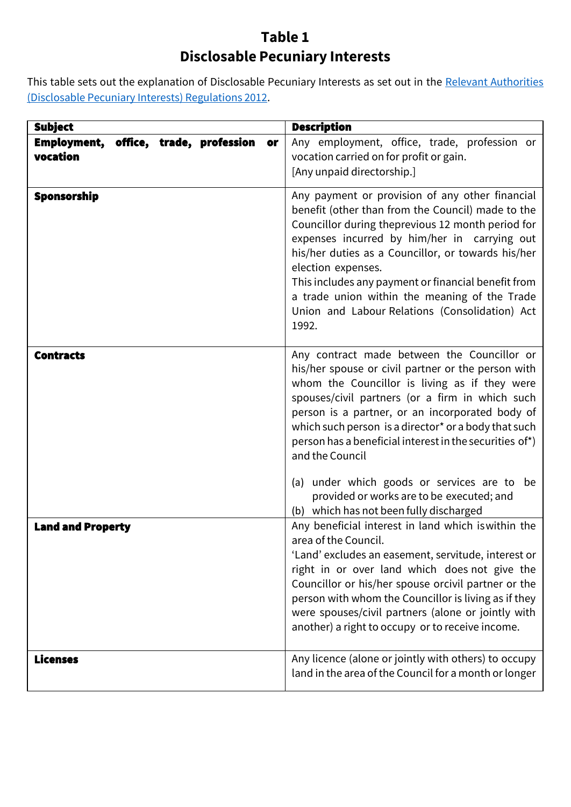# **Table 1 Disclosable Pecuniary Interests**

This table sets out the explanation of Disclosable Pecuniary Interests as set out in the Relevant [Authorities](https://www.legislation.gov.uk/uksi/2012/1464/made) [\(Disclosable](https://www.legislation.gov.uk/uksi/2012/1464/made) Pecuniary Interests) Regulations 2012.

| <b>Subject</b>                                             | <b>Description</b>                                                                                                                                                                                                                                                                                                                                                                                                                                       |
|------------------------------------------------------------|----------------------------------------------------------------------------------------------------------------------------------------------------------------------------------------------------------------------------------------------------------------------------------------------------------------------------------------------------------------------------------------------------------------------------------------------------------|
| Employment,<br>office, trade, profession<br>or<br>vocation | Any employment, office, trade, profession or<br>vocation carried on for profit or gain.<br>[Any unpaid directorship.]                                                                                                                                                                                                                                                                                                                                    |
| <b>Sponsorship</b>                                         | Any payment or provision of any other financial<br>benefit (other than from the Council) made to the<br>Councillor during theprevious 12 month period for<br>expenses incurred by him/her in carrying out<br>his/her duties as a Councillor, or towards his/her<br>election expenses.<br>This includes any payment or financial benefit from<br>a trade union within the meaning of the Trade<br>Union and Labour Relations (Consolidation) Act<br>1992. |
| <b>Contracts</b>                                           | Any contract made between the Councillor or<br>his/her spouse or civil partner or the person with<br>whom the Councillor is living as if they were<br>spouses/civil partners (or a firm in which such<br>person is a partner, or an incorporated body of<br>which such person is a director* or a body that such<br>person has a beneficial interest in the securities of*)<br>and the Council                                                           |
|                                                            | (a) under which goods or services are to be<br>provided or works are to be executed; and<br>(b) which has not been fully discharged                                                                                                                                                                                                                                                                                                                      |
| <b>Land and Property</b>                                   | Any beneficial interest in land which is within the<br>area of the Council.<br>'Land' excludes an easement, servitude, interest or<br>right in or over land which does not give the<br>Councillor or his/her spouse orcivil partner or the<br>person with whom the Councillor is living as if they<br>were spouses/civil partners (alone or jointly with<br>another) a right to occupy or to receive income.                                             |
| <b>Licenses</b>                                            | Any licence (alone or jointly with others) to occupy<br>land in the area of the Council for a month or longer                                                                                                                                                                                                                                                                                                                                            |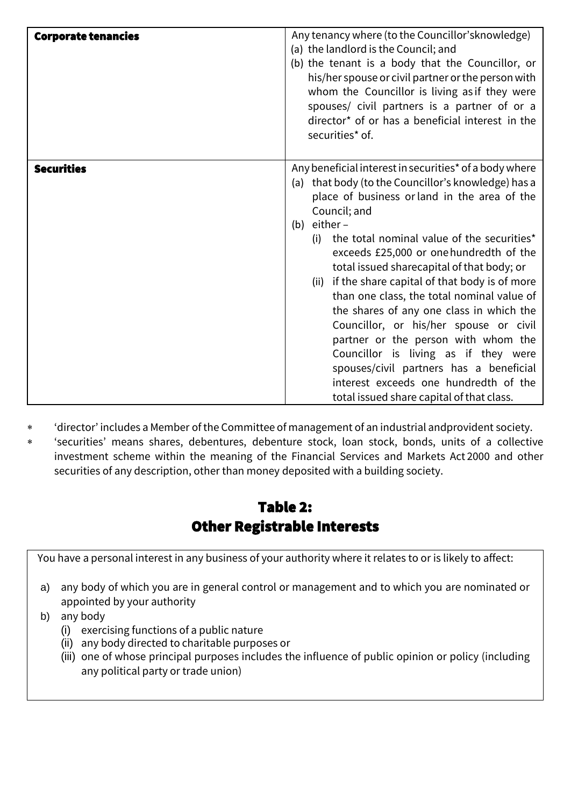| <b>Corporate tenancies</b> | Any tenancy where (to the Councillor's knowledge)<br>(a) the landlord is the Council; and<br>(b) the tenant is a body that the Councillor, or<br>his/her spouse or civil partner or the person with<br>whom the Councillor is living as if they were<br>spouses/ civil partners is a partner of or a<br>director* of or has a beneficial interest in the<br>securities* of.                                                                                                                                                                                                                                                                                                                                                                               |
|----------------------------|-----------------------------------------------------------------------------------------------------------------------------------------------------------------------------------------------------------------------------------------------------------------------------------------------------------------------------------------------------------------------------------------------------------------------------------------------------------------------------------------------------------------------------------------------------------------------------------------------------------------------------------------------------------------------------------------------------------------------------------------------------------|
| <b>Securities</b>          | Any beneficial interest in securities* of a body where<br>(a) that body (to the Councillor's knowledge) has a<br>place of business or land in the area of the<br>Council; and<br>(b) $either -$<br>the total nominal value of the securities*<br>(i)<br>exceeds £25,000 or one hundredth of the<br>total issued sharecapital of that body; or<br>if the share capital of that body is of more<br>(ii)<br>than one class, the total nominal value of<br>the shares of any one class in which the<br>Councillor, or his/her spouse or civil<br>partner or the person with whom the<br>Councillor is living as if they were<br>spouses/civil partners has a beneficial<br>interest exceeds one hundredth of the<br>total issued share capital of that class. |

- 'director' includes a Member ofthe Committee of management of an industrial andprovident society.
- 'securities' means shares, debentures, debenture stock, loan stock, bonds, units of a collective investment scheme within the meaning of the Financial Services and Markets Act 2000 and other securities of any description, other than money deposited with a building society.

# Table 2: Other Registrable Interests

You have a personal interest in any business of your authority where it relates to or is likely to affect:

- a) any body of which you are in general control or management and to which you are nominated or appointed by your authority
- b) any body
	- (i) exercising functions of a public nature
	- (ii) any body directed to charitable purposes or
	- (iii) one of whose principal purposes includes the influence of public opinion or policy (including any political party or trade union)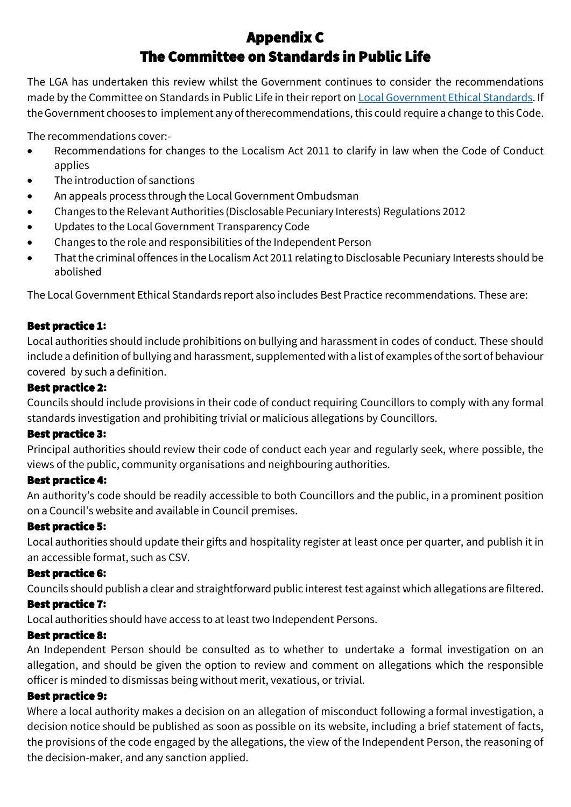# Appendix C The Committee on Standards in Public Life

The LGA has undertaken this review whilst the Government continues to consider the recommendations made by the Committee on Standards in Public Life in their report on Local [Government](https://www.gov.uk/government/publications/local-government-ethical-standards-report) Ethical Standards. If the Government chooses to implement any of therecommendations, this could require a change to this Code.

The recommendations cover:-

- Recommendations for changes to the Localism Act 2011 to clarify in law when the Code of Conduct applies
- The introduction of sanctions
- An appeals process through the Local Government Ombudsman
- Changes to the Relevant Authorities (Disclosable Pecuniary Interests) Regulations 2012
- Updates to theLocal Government Transparency Code
- Changes to the role and responsibilities of the Independent Person
- That the criminal offences in the Localism Act 2011 relating to Disclosable Pecuniary Interests should be abolished

TheLocal Government Ethical Standards report also includes Best Practice recommendations. These are:

# Best practice 1:

Local authorities should include prohibitions on bullying and harassment in codes of conduct. These should include a definition of bullying and harassment, supplemented with a list of examples of the sort of behaviour covered by such a definition.

## Best practice 2:

Councils should include provisions in their code of conduct requiring Councillors to comply with any formal standards investigation and prohibiting trivial or malicious allegations by Councillors.

# Best practice 3:

Principal authorities should review their code of conduct each year and regularly seek, where possible, the views of the public, community organisations and neighbouring authorities.

# Best practice 4:

An authority's code should be readily accessible to both Councillors and the public, in a prominent position on a Council's website and available in Council premises.

# Best practice 5:

Local authorities should update their gifts and hospitality register at least once per quarter, and publish it in an accessible format, such as CSV.

# Best practice 6:

Councils should publish a clear and straightforward public interest test against which allegations arefiltered.

# Best practice 7:

Local authorities should have access to at least two Independent Persons.

## Best practice 8:

An Independent Person should be consulted as to whether to undertake a formal investigation on an allegation, and should be given the option to review and comment on allegations which the responsible officer is minded to dismissas being without merit, vexatious, or trivial.

# Best practice 9:

Where a local authority makes a decision on an allegation of misconduct following a formal investigation, a decision notice should be published as soon as possible on its website, including a brief statement of facts, the provisions of the code engaged by the allegations, the view of the Independent Person, the reasoning of the decision-maker, and any sanction applied.